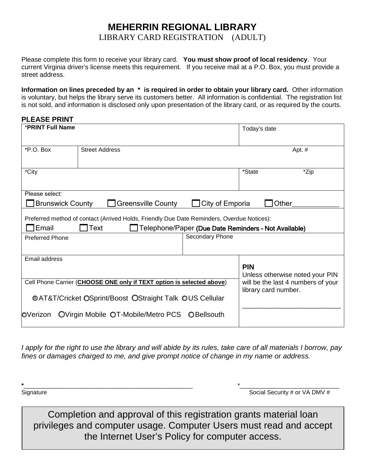## **MEHERRIN REGIONAL LIBRARY** LIBRARY CARD REGISTRATION (ADULT)

Please complete this form to receive your library card. **You must show proof of local residency**. Your current Virginia driver's license meets this requirement. If you receive mail at a P.O. Box, you must provide a street address.

**Information on lines preceded by an \* is required in order to obtain your library card.** Other information is voluntary, but helps the library serve its customers better. All information is confidential. The registration list is not sold, and information is disclosed only upon presentation of the library card, or as required by the courts.

| <b>PLEASE PRINT</b>                                                                        |                                    |                    |                                                                                               |      |
|--------------------------------------------------------------------------------------------|------------------------------------|--------------------|-----------------------------------------------------------------------------------------------|------|
| <b>*PRINT Full Name</b>                                                                    |                                    |                    | Today's date                                                                                  |      |
| *P.O. Box                                                                                  | <b>Street Address</b>              |                    | Apt. #                                                                                        |      |
|                                                                                            |                                    |                    |                                                                                               |      |
| *City                                                                                      |                                    |                    | *State                                                                                        | *Zip |
| Please select:                                                                             |                                    |                    |                                                                                               |      |
| $\Box$ City of Emporia<br><b>Brunswick County</b><br><b>Greensville County</b><br>Other    |                                    |                    |                                                                                               |      |
| Preferred method of contact (Arrived Holds, Friendly Due Date Reminders, Overdue Notices): |                                    |                    |                                                                                               |      |
| Email<br>1Text<br>Telephone/Paper (Due Date Reminders - Not Available)                     |                                    |                    |                                                                                               |      |
| <b>Preferred Phone</b>                                                                     | Secondary Phone                    |                    |                                                                                               |      |
|                                                                                            |                                    |                    |                                                                                               |      |
| Email address                                                                              |                                    |                    | <b>PIN</b>                                                                                    |      |
|                                                                                            |                                    |                    | Unless otherwise noted your PIN<br>will be the last 4 numbers of your<br>library card number. |      |
| Cell Phone Carrier (CHOOSE ONE only if TEXT option is selected above)                      |                                    |                    |                                                                                               |      |
| <b>OAT&amp;T/Cricket OSprint/Boost OStraight Talk OUS Cellular</b>                         |                                    |                    |                                                                                               |      |
| OVerizon                                                                                   | OVirgin Mobile OT-Mobile/Metro PCS | <b>O</b> Bellsouth |                                                                                               |      |
|                                                                                            |                                    |                    |                                                                                               |      |

*I apply for the right to use the library and will abide by its rules, take care of all materials I borrow, pay fines or damages charged to me, and give prompt notice of change in my name or address.*

**\***\_\_\_\_\_\_\_\_\_\_\_\_\_\_\_\_\_\_\_\_\_\_\_\_\_\_\_\_\_\_\_\_\_\_\_\_\_\_\_\_\_\_\_\_\_\_\_\_\_\_\_ \*\_\_\_\_\_\_\_\_\_\_\_\_\_\_\_\_\_\_\_\_\_\_\_\_\_\_\_\_\_\_ Signature Supervisors of the Social Security # or VA DMV #

Completion and approval of this registration grants material loan privileges and computer usage. Computer Users must read and accept the Internet User's Policy for computer access.